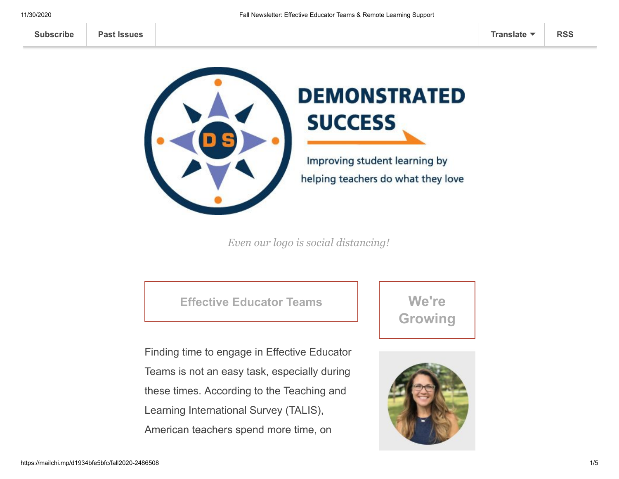

## **DEMONSTRATED SUCCESS**

Improving student learning by helping teachers do what they love

*Even our logo is social distancing!* 

**Effective Educator Teams**

Finding time to engage in Effective Educator Teams is not an easy task, especially during these times. According to the Teaching and Learning International Survey (TALIS), American teachers spend more time, on

**We're Growing**

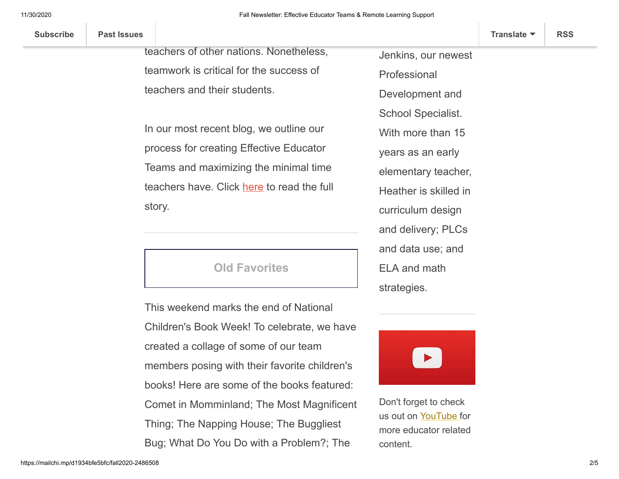| <b>Subscribe</b><br><b>Past Issues</b> | Translate $\blacktriangledown$ | <b>RSS</b> |
|----------------------------------------|--------------------------------|------------|
|----------------------------------------|--------------------------------|------------|

teachers of other nations. Nonetheless, teamwork is critical for the success of teachers and their students.

average, in their individual classrooms than

In our most recent blog, we outline our process for creating Effective Educator Teams and maximizing the minimal time teachers have. Click [here](https://www.demonstratedsuccess.com/Public/how-to-create-an-effective-educator-team-that-maximizes-time/?utm_source=mailchimp&utm_medium=email&utm_content=blog&utm_campaign=newsletter) to read the full story.

## **Old Favorites**

This weekend marks the end of National Children's Book Week! To celebrate, we have created a collage of some of our team members posing with their favorite children's books! Here are some of the books featured: Comet in Momminland; The Most Magnificent Thing; The Napping House; The Buggliest Bug; What Do You Do with a Problem?; The

Jenkins, our newest Professional Development and School Specialist. With more than 15 years as an early elementary teacher, Heather is skilled in curriculum design and delivery; PLCs and data use; and ELA and math strategies.



Don't forget to check us out on [YouTube](https://www.youtube.com/channel/UCFGkezQ-ve17NpEg3Dq81eQ) for more educator related content.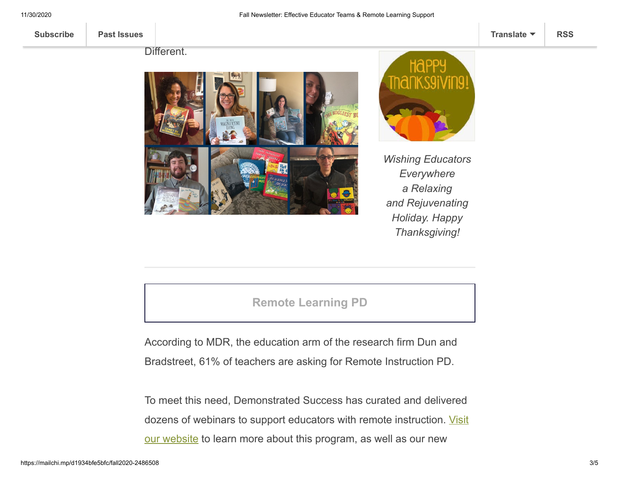**[Subscribe](http://eepurl.com/g-bdAz) [Past Issues](https://us10.campaign-archive.com/home/?u=fd71a91d185a89b556ced9e42&id=337a4d9554) [Translate](javascript:;) [RSS](https://us10.campaign-archive.com/feed?u=fd71a91d185a89b556ced9e42&id=337a4d9554)**

Different.



Runaway Bunny; and It's Okay To Be



*Wishing Educators Everywhere a Relaxing and Rejuvenating Holiday. Happy Thanksgiving!*

## **Remote Learning PD**

According to MDR, the education arm of the research firm Dun and Bradstreet, 61% of teachers are asking for Remote Instruction PD.

To meet this need, Demonstrated Success has curated and delivered [dozens of webinars to support educators with remote instruction. Visit](https://www.demonstratedsuccess.com/Public/remote-learning-educators/?utm_source=mailchimp&utm_medium=email&utm_content=remotesupport&utm_campaign=newsletter) our website to learn more about this program, as well as our new